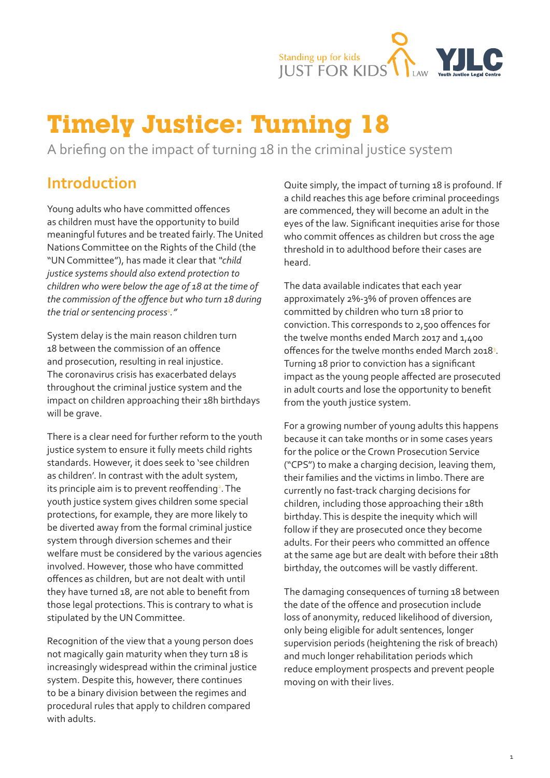

# <span id="page-0-0"></span>**Timely Justice: Turning 18**

A briefing on the impact of turning 18 in the criminal justice system

# **Introduction**

Young adults who have committed offences as children must have the opportunity to build meaningful futures and be treated fairly. The United Nations Committee on the Rights of the Child (the "UN Committee"), has made it clear that *"child justice systems should also extend protection to children who were below the age of 18 at the time of the commission of the offence but who turn 18 during the trial or sentencing process*[1](#page-9-0) *."*

System delay is the main reason children turn 18 between the commission of an offence and prosecution, resulting in real injustice. The coronavirus crisis has exacerbated delays throughout the criminal justice system and the impact on children approaching their 18h birthdays will be grave.

There is a clear need for further reform to the youth justice system to ensure it fully meets child rights standards. However, it does seek to 'see children as children'. In contrast with the adult system, its principle aim is to prevent reoffending<sup>[2](#page-9-0)</sup>. The youth justice system gives children some special protections, for example, they are more likely to be diverted away from the formal criminal justice system through diversion schemes and their welfare must be considered by the various agencies involved. However, those who have committed offences as children, but are not dealt with until they have turned 18, are not able to benefit from those legal protections. This is contrary to what is stipulated by the UN Committee.

Recognition of the view that a young person does not magically gain maturity when they turn 18 is increasingly widespread within the criminal justice system. Despite this, however, there continues to be a binary division between the regimes and procedural rules that apply to children compared with adults.

Quite simply, the impact of turning 18 is profound. If a child reaches this age before criminal proceedings are commenced, they will become an adult in the eyes of the law. Significant inequities arise for those who commit offences as children but cross the age threshold in to adulthood before their cases are heard.

The data available indicates that each year approximately 2%-3% of proven offences are committed by children who turn 18 prior to conviction. This corresponds to 2,500 offences for the twelve months ended March 2017 and 1,400 offences for the twelve months ended March 2018<sup>[3](#page-9-0)</sup>. Turning 18 prior to conviction has a significant impact as the young people affected are prosecuted in adult courts and lose the opportunity to benefit from the youth justice system.

For a growing number of young adults this happens because it can take months or in some cases years for the police or the Crown Prosecution Service ("CPS") to make a charging decision, leaving them, their families and the victims in limbo. There are currently no fast-track charging decisions for children, including those approaching their 18th birthday. This is despite the inequity which will follow if they are prosecuted once they become adults. For their peers who committed an offence at the same age but are dealt with before their 18th birthday, the outcomes will be vastly different.

The damaging consequences of turning 18 between the date of the offence and prosecution include loss of anonymity, reduced likelihood of diversion, only being eligible for adult sentences, longer supervision periods (heightening the risk of breach) and much longer rehabilitation periods which reduce employment prospects and prevent people moving on with their lives.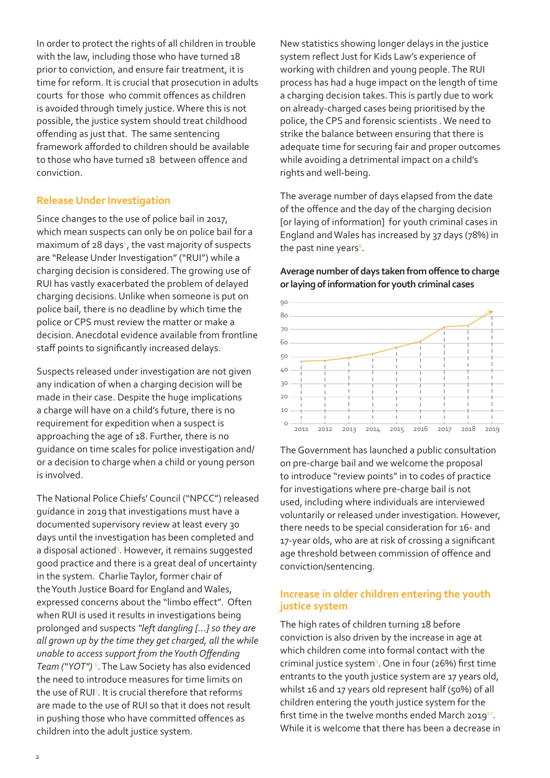<span id="page-1-0"></span>In order to protect the rights of all children in trouble with the law, including those who have turned 18 prior to conviction, and ensure fair treatment, it is time for reform. It is crucial that prosecution in adults courts for those who commit offences as children is avoided through timely justice. Where this is not possible, the justice system should treat childhood offending as just that. The same sentencing framework afforded to children should be available to those who have turned 18 between offence and conviction.

#### **Release Under Investigation**

Since changes to the use of police bail in 2017, which mean suspects can only be on police bail for a maximum of 28 days<sup>[4](#page-9-0)</sup>, the vast majority of suspects are "Release Under Investigation" ("RUI") while a charging decision is considered.The growing use of RUI has vastly exacerbated the problem of delayed charging decisions. Unlike when someone is put on police bail, there is no deadline by which time the police or CPS must review the matter or make a decision. Anecdotal evidence available from frontline staff points to significantly increased delays.

Suspects released under investigation are not given any indication of when a charging decision will be made in their case. Despite the huge implications a charge will have on a child's future, there is no requirement for expedition when a suspect is approaching the age of 18. Further, there is no guidance on time scales for police investigation and/ or a decision to charge when a child or young person is involved.

The National Police Chiefs' Council ("NPCC") released guidance in 2019 that investigations must have a documented supervisory review at least every 30 days until the investigation has been completed and a disposal actioned<sup>5</sup>. However, it remains suggested good practice and there is a great deal of uncertainty in the system. Charlie Taylor, former chair of the Youth Justice Board for England and Wales, expressed concerns about the "limbo effect". Often when RUI is used it results in investigations being prolonged and suspects *"left dangling […] so they are all grown up by the time they get charged, all the while unable to access support from the Youth Offending Team ("YOT")* [6](#page-9-0) . The Law Society has also evidenced the need to introduce measures for time limits on the use of RU[I7](#page-9-0) . It is crucial therefore that reforms are made to the use of RUI so that it does not result in pushing those who have committed offences as children into the adult justice system.

New statistics showing longer delays in the justice system reflect Just for Kids Law's experience of working with children and young people. The RUI process has had a huge impact on the length of time a charging decision takes. This is partly due to work on already-charged cases being prioritised by the police, the CPS and forensic scientists . We need to strike the balance between ensuring that there is adequate time for securing fair and proper outcomes while avoiding a detrimental impact on a child's rights and well-being.

The average number of days elapsed from the date of the offence and the day of the charging decision [or laying of information] for youth criminal cases in England and Wales has increased by 37 days (78%) in the past nine years<sup>8</sup>.

**Average number of days taken from offence to charge or laying of information for youth criminal cases**



The Government has launched a public consultation on pre-charge bail and we welcome the proposal to introduce "review points" in to codes of practice for investigations where pre-charge bail is not used, including where individuals are interviewed voluntarily or released under investigation. However, there needs to be special consideration for 16- and 17-year olds, who are at risk of crossing a significant age threshold between commission of offence and conviction/sentencing.

#### **Increase in older children entering the youth justice system**

The high rates of children turning 18 before conviction is also driven by the increase in age at which children come into formal contact with the criminal justice system<sup>9</sup>. One in four (26%) first time entrants to the youth justice system are 17 years old, whilst 16 and 17 years old represent half (50%) of all children entering the youth justice system for the first time in the twelve months ended March 2019 $^{10}$ . While it is welcome that there has been a decrease in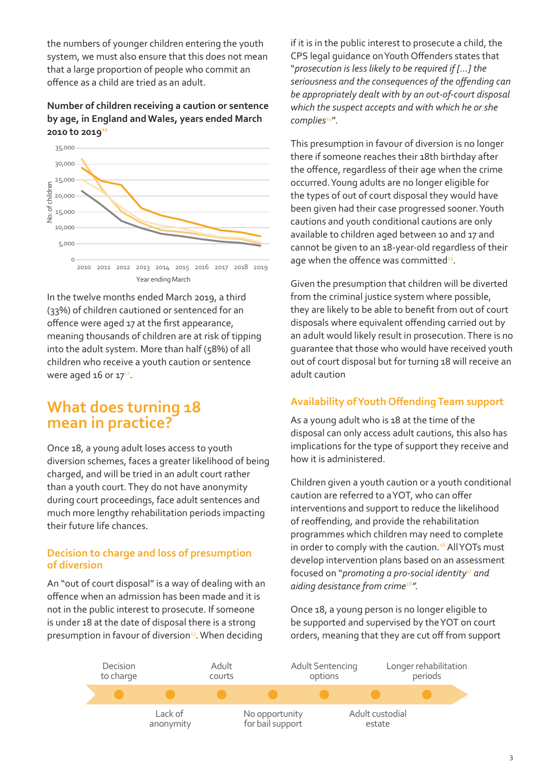<span id="page-2-0"></span>the numbers of younger children entering the youth system, we must also ensure that this does not mean that a large proportion of people who commit an offence as a child are tried as an adult.

#### **Number of children receiving a caution or sentence by age, in England and Wales, years ended March 2010 to 201[911](#page-9-0)**



In the twelve months ended March 2019, a third (33%) of children cautioned or sentenced for an offence were aged 17 at the first appearance, meaning thousands of children are at risk of tipping into the adult system. More than half (58%) of all children who receive a youth caution or sentence were aged 16 or  $17^{12}$  $17^{12}$  $17^{12}$ .

### **What does turning 18 mean in practice?**

Once 18, a young adult loses access to youth diversion schemes, faces a greater likelihood of being charged, and will be tried in an adult court rather than a youth court. They do not have anonymity during court proceedings, face adult sentences and much more lengthy rehabilitation periods impacting their future life chances.

#### **Decision to charge and loss of presumption of diversion**

An "out of court disposal" is a way of dealing with an offence when an admission has been made and it is not in the public interest to prosecute. If someone is under 18 at the date of disposal there is a strong presumption in favour of diversion<sup>13</sup>. When deciding

if it is in the public interest to prosecute a child, the CPS legal guidance on Youth Offenders states that "*prosecution is less likely to be required if [...] the seriousness and the consequences of the offending can be appropriately dealt with by an out-of-court disposal which the suspect accepts and with which he or she complies*[14](#page-9-0)".

This presumption in favour of diversion is no longer there if someone reaches their 18th birthday after the offence, regardless of their age when the crime occurred. Young adults are no longer eligible for the types of out of court disposal they would have been given had their case progressed sooner. Youth cautions and youth conditional cautions are only available to children aged between 10 and 17 and cannot be given to an 18-year-old regardless of their age when the offence was committed<sup>15</sup>.

Given the presumption that children will be diverted from the criminal justice system where possible, they are likely to be able to benefit from out of court disposals where equivalent offending carried out by an adult would likely result in prosecution. There is no guarantee that those who would have received youth out of court disposal but for turning 18 will receive an adult caution

### **Availability of Youth Offending Team support**

As a young adult who is 18 at the time of the disposal can only access adult cautions, this also has implications for the type of support they receive and how it is administered.

Children given a youth caution or a youth conditional caution are referred to a YOT, who can offer interventions and support to reduce the likelihood of reoffending, and provide the rehabilitation programmes which children may need to complete in order to comply with the caution.<sup>[16](#page-9-0)</sup> All YOTs must develop intervention plans based on an assessment focused on "*promoting a pro-social identity<sup>[17](#page-9-0)</sup> and aiding desistance from crime*[18](#page-9-0)*".*

Once 18, a young person is no longer eligible to be supported and supervised by the YOT on court orders, meaning that they are cut off from support

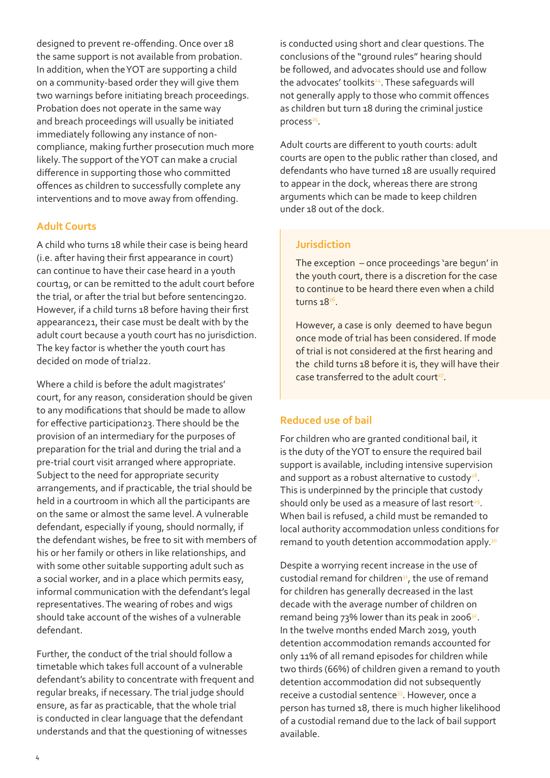<span id="page-3-0"></span>designed to prevent re-offending. Once over 18 the same support is not available from probation. In addition, when the YOT are supporting a child on a community-based order they will give them two warnings before initiating breach proceedings. Probation does not operate in the same way and breach proceedings will usually be initiated immediately following any instance of noncompliance, making further prosecution much more likely. The support of the YOT can make a crucial difference in supporting those who committed offences as children to successfully complete any interventions and to move away from offending.

#### **Adult Courts**

A child who turns 18 while their case is being heard (i.e. after having their first appearance in court) can continue to have their case heard in a youth court19, or can be remitted to the adult court before [the trial, or after the trial but before sentencing20.](#page-9-0)  However, if a child turns 18 before having their first appearance21[, their case must be dealt with by the](#page-9-0)  adult court because a youth court has no jurisdiction. The key factor is whether the youth court has [decided on mode of trial](#page-9-0)22.

Where a child is before the adult magistrates' court, for any reason, consideration should be given to any modifications that should be made to allow for effective participation23. There should be the provision of an intermediary for the purposes of preparation for the trial and during the trial and a pre-trial court visit arranged where appropriate. Subject to the need for appropriate security arrangements, and if practicable, the trial should be held in a courtroom in which all the participants are on the same or almost the same level. A vulnerable defendant, especially if young, should normally, if the defendant wishes, be free to sit with members of his or her family or others in like relationships, and with some other suitable supporting adult such as a social worker, and in a place which permits easy, informal communication with the defendant's legal representatives. The wearing of robes and wigs should take account of the wishes of a vulnerable defendant.

Further, the conduct of the trial should follow a timetable which takes full account of a vulnerable defendant's ability to concentrate with frequent and regular breaks, if necessary. The trial judge should ensure, as far as practicable, that the whole trial is conducted in clear language that the defendant understands and that the questioning of witnesses

is conducted using short and clear questions. The conclusions of the "ground rules" hearing should be followed, and advocates should use and follow the advocates' toolkits<sup>[24](#page-9-0)</sup>. These safeguards will not generally apply to those who commit offences as children but turn 18 during the criminal justice  $process<sup>25</sup>$  $process<sup>25</sup>$  $process<sup>25</sup>$ .

Adult courts are different to youth courts: adult courts are open to the public rather than closed, and defendants who have turned 18 are usually required to appear in the dock, whereas there are strong arguments which can be made to keep children under 18 out of the dock.

#### **Jurisdiction**

The exception – once proceedings 'are begun' in the youth court, there is a discretion for the case to continue to be heard there even when a child turns 18[26](#page-9-0).

However, a case is only deemed to have begun once mode of trial has been considered. If mode of trial is not considered at the first hearing and the child turns 18 before it is, they will have their case transferred to the adult court<sup>27</sup>.

#### **Reduced use of bail**

For children who are granted conditional bail, it is the duty of the YOT to ensure the required bail support is available, including intensive supervision and support as a robust alternative to custody $28$ . This is underpinned by the principle that custody should only be used as a measure of last resort<sup>[29](#page-9-0)</sup>. When bail is refused, a child must be remanded to local authority accommodation unless conditions for remand to youth detention accommodation apply.<sup>[30](#page-9-0)</sup>

Despite a worrying recent increase in the use of custodial remand for children<sup>31</sup>, the use of remand for children has generally decreased in the last decade with the average number of children on remand being  $73\%$  lower than its peak in 2006 $32$ . In the twelve months ended March 2019, youth detention accommodation remands accounted for only 11% of all remand episodes for children while two thirds (66%) of children given a remand to youth detention accommodation did not subsequently receive a custodial sentence<sup>33</sup>. However, once a person has turned 18, there is much higher likelihood of a custodial remand due to the lack of bail support available.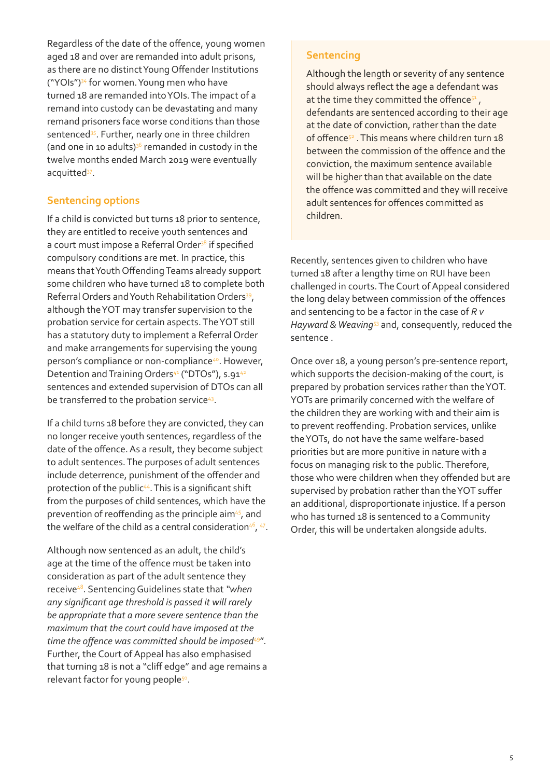<span id="page-4-0"></span>Regardless of the date of the offence, young women aged 18 and over are remanded into adult prisons, as there are no distinct Young Offender Institutions ("YOIs")[34](#page-9-0) for women. Young men who have turned 18 are remanded into YOIs. The impact of a remand into custody can be devastating and many remand prisoners face worse conditions than those sentenced<sup>35</sup>. Further, nearly one in three children (and one in 10 adults) $36$  remanded in custody in the twelve months ended March 2019 were eventually acquitted<sup>37</sup>.

#### **Sentencing options**

If a child is convicted but turns 18 prior to sentence, they are entitled to receive youth sentences and a court must impose a Referral Order<sup>38</sup> if specified compulsory conditions are met. In practice, this means that Youth Offending Teams already support some children who have turned 18 to complete both Referral Orders and Youth Rehabilitation Orders<sup>39</sup>, although the YOT may transfer supervision to the probation service for certain aspects. The YOT still has a statutory duty to implement a Referral Order and make arrangements for supervising the young person's compliance or non-compliance<sup>40</sup>. However, Detention and Training Orders<sup>41</sup> ("DTOs"), s.91<sup>[42](#page-9-0)</sup> sentences and extended supervision of DTOs can all be transferred to the probation service<sup>43</sup>.

If a child turns 18 before they are convicted, they can no longer receive youth sentences, regardless of the date of the offence. As a result, they become subject to adult sentences. The purposes of adult sentences include deterrence, punishment of the offender and protection of the public<sup>[44](#page-10-0)</sup>. This is a significant shift from the purposes of child sentences, which have the prevention of reoffending as the principle aim<sup>45</sup>, and the welfare of the child as a central consideration<sup>[46](#page-10-0)</sup>, <sup>47</sup>.

Although now sentenced as an adult, the child's age at the time of the offence must be taken into consideration as part of the adult sentence they receive[48](#page-10-0). Sentencing Guidelines state that *"when any significant age threshold is passed it will rarely be appropriate that a more severe sentence than the maximum that the court could have imposed at the*  time the offence was committed should be imposed<sup>[49"](#page-10-0)</sup>. Further, the Court of Appeal has also emphasised that turning 18 is not a "cliff edge" and age remains a relevant factor for young people<sup>50</sup>.

#### **Sentencing**

Although the length or severity of any sentence should always reflect the age a defendant was at the time they committed the offence $5^1$ , defendants are sentenced according to their age at the date of conviction, rather than the date of offenc[e52](#page-10-0) . This means where children turn 18 between the commission of the offence and the conviction, the maximum sentence available will be higher than that available on the date the offence was committed and they will receive adult sentences for offences committed as children.

Recently, sentences given to children who have turned 18 after a lengthy time on RUI have been challenged in courts. The Court of Appeal considered the long delay between commission of the offences and sentencing to be a factor in the case of *R v Hayward & Weaving*[53](#page-10-0) and, consequently, reduced the sentence .

Once over 18, a young person's pre-sentence report, which supports the decision-making of the court, is prepared by probation services rather than the YOT. YOTs are primarily concerned with the welfare of the children they are working with and their aim is to prevent reoffending. Probation services, unlike the YOTs, do not have the same welfare-based priorities but are more punitive in nature with a focus on managing risk to the public. Therefore, those who were children when they offended but are supervised by probation rather than the YOT suffer an additional, disproportionate injustice. If a person who has turned 18 is sentenced to a Community Order, this will be undertaken alongside adults.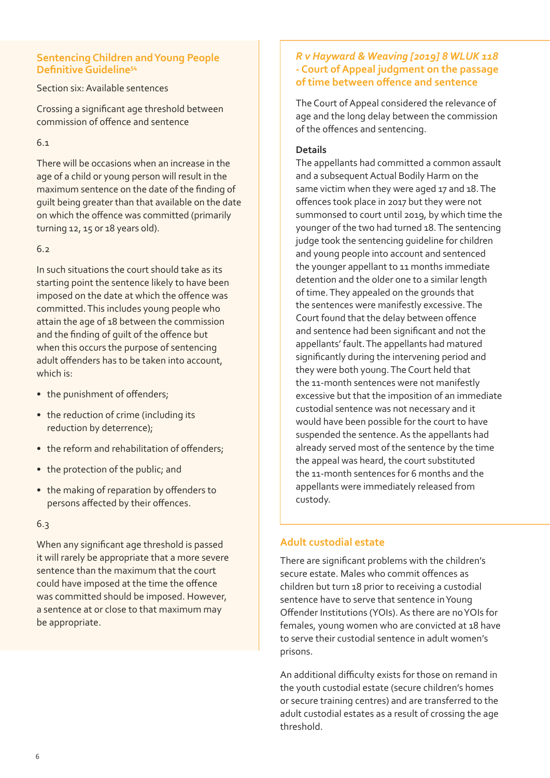#### <span id="page-5-0"></span>**Sentencing Children and Young People Definitive Guideline[54](#page-10-0)**

Section six: Available sentences

Crossing a significant age threshold between commission of offence and sentence

6.1

There will be occasions when an increase in the age of a child or young person will result in the maximum sentence on the date of the finding of guilt being greater than that available on the date on which the offence was committed (primarily turning 12, 15 or 18 years old).

#### 6.2

In such situations the court should take as its starting point the sentence likely to have been imposed on the date at which the offence was committed. This includes young people who attain the age of 18 between the commission and the finding of guilt of the offence but when this occurs the purpose of sentencing adult offenders has to be taken into account, which is:

- the punishment of offenders;
- the reduction of crime (including its reduction by deterrence);
- the reform and rehabilitation of offenders:
- the protection of the public; and
- the making of reparation by offenders to persons affected by their offences.

#### 6.3

When any significant age threshold is passed it will rarely be appropriate that a more severe sentence than the maximum that the court could have imposed at the time the offence was committed should be imposed. However, a sentence at or close to that maximum may be appropriate.

#### *R v Hayward & Weaving [2019] 8 WLUK 118*  **- Court of Appeal judgment on the passage of time between offence and sentence**

The Court of Appeal considered the relevance of age and the long delay between the commission of the offences and sentencing.

#### **Details**

The appellants had committed a common assault and a subsequent Actual Bodily Harm on the same victim when they were aged 17 and 18. The offences took place in 2017 but they were not summonsed to court until 2019, by which time the younger of the two had turned 18. The sentencing judge took the sentencing guideline for children and young people into account and sentenced the younger appellant to 11 months immediate detention and the older one to a similar length of time. They appealed on the grounds that the sentences were manifestly excessive. The Court found that the delay between offence and sentence had been significant and not the appellants' fault. The appellants had matured significantly during the intervening period and they were both young. The Court held that the 11-month sentences were not manifestly excessive but that the imposition of an immediate custodial sentence was not necessary and it would have been possible for the court to have suspended the sentence. As the appellants had already served most of the sentence by the time the appeal was heard, the court substituted the 11-month sentences for 6 months and the appellants were immediately released from custody.

#### **Adult custodial estate**

There are significant problems with the children's secure estate. Males who commit offences as children but turn 18 prior to receiving a custodial sentence have to serve that sentence in Young Offender Institutions (YOIs). As there are no YOIs for females, young women who are convicted at 18 have to serve their custodial sentence in adult women's prisons.

An additional difficulty exists for those on remand in the youth custodial estate (secure children's homes or secure training centres) and are transferred to the adult custodial estates as a result of crossing the age threshold.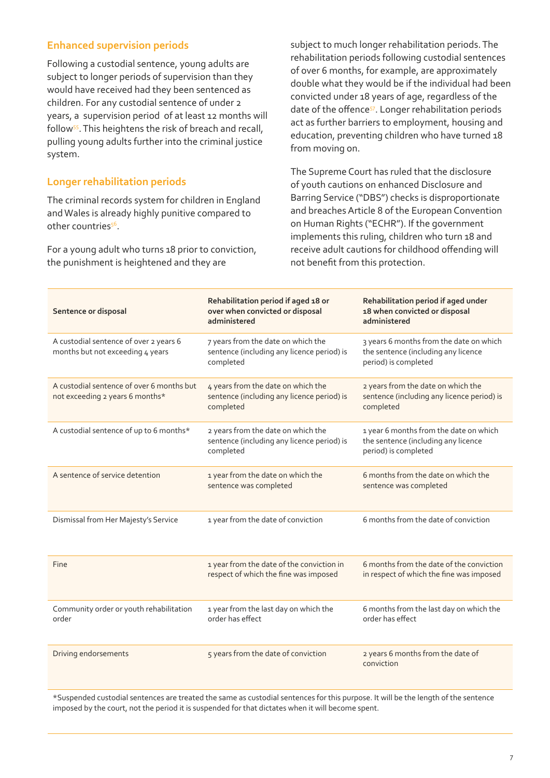#### <span id="page-6-0"></span>**Enhanced supervision periods**

Following a custodial sentence, young adults are subject to longer periods of supervision than they would have received had they been sentenced as children. For any custodial sentence of under 2 years, a supervision period of at least 12 months will follow<sup>55</sup>. This heightens the risk of breach and recall, pulling young adults further into the criminal justice system.

#### **Longer rehabilitation periods**

The criminal records system for children in England and Wales is already highly punitive compared to other countries<sup>56</sup>.

For a young adult who turns 18 prior to conviction, the punishment is heightened and they are

subject to much longer rehabilitation periods. The rehabilitation periods following custodial sentences of over 6 months, for example, are approximately double what they would be if the individual had been convicted under 18 years of age, regardless of the date of the offence<sup>57</sup>. Longer rehabilitation periods act as further barriers to employment, housing and education, preventing children who have turned 18 from moving on.

The Supreme Court has ruled that the disclosure of youth cautions on enhanced Disclosure and Barring Service ("DBS") checks is disproportionate and breaches Article 8 of the European Convention on Human Rights ("ECHR"). If the government implements this ruling, children who turn 18 and receive adult cautions for childhood offending will not benefit from this protection.

| Sentence or disposal                                                         | Rehabilitation period if aged 18 or<br>over when convicted or disposal<br>administered        | Rehabilitation period if aged under<br>18 when convicted or disposal<br>administered                   |
|------------------------------------------------------------------------------|-----------------------------------------------------------------------------------------------|--------------------------------------------------------------------------------------------------------|
| A custodial sentence of over 2 years 6<br>months but not exceeding 4 years   | 7 years from the date on which the<br>sentence (including any licence period) is<br>completed | 3 years 6 months from the date on which<br>the sentence (including any licence<br>period) is completed |
| A custodial sentence of over 6 months but<br>not exceeding 2 years 6 months* | 4 years from the date on which the<br>sentence (including any licence period) is<br>completed | 2 years from the date on which the<br>sentence (including any licence period) is<br>completed          |
| A custodial sentence of up to 6 months*                                      | 2 years from the date on which the<br>sentence (including any licence period) is<br>completed | 1 year 6 months from the date on which<br>the sentence (including any licence<br>period) is completed  |
| A sentence of service detention                                              | 1 year from the date on which the<br>sentence was completed                                   | 6 months from the date on which the<br>sentence was completed                                          |
| Dismissal from Her Majesty's Service                                         | 1 year from the date of conviction                                                            | 6 months from the date of conviction                                                                   |
| <b>Fine</b>                                                                  | 1 year from the date of the conviction in<br>respect of which the fine was imposed            | 6 months from the date of the conviction<br>in respect of which the fine was imposed                   |
| Community order or youth rehabilitation<br>order                             | 1 year from the last day on which the<br>order has effect                                     | 6 months from the last day on which the<br>order has effect                                            |
| Driving endorsements                                                         | 5 years from the date of conviction                                                           | 2 years 6 months from the date of<br>conviction                                                        |

\*Suspended custodial sentences are treated the same as custodial sentences for this purpose. It will be the length of the sentence imposed by the court, not the period it is suspended for that dictates when it will become spent.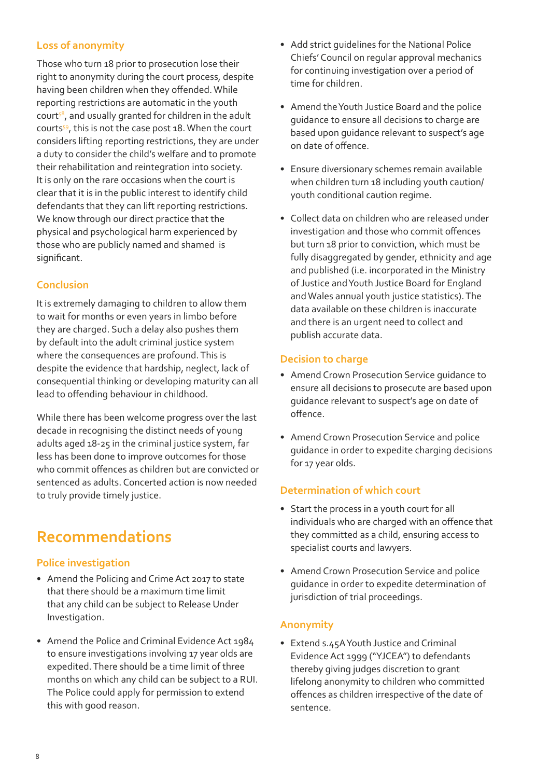### <span id="page-7-0"></span>**Loss of anonymity**

Those who turn 18 prior to prosecution lose their right to anonymity during the court process, despite having been children when they offended. While reporting restrictions are automatic in the youth court<sup>58</sup>, and usually granted for children in the adult court[s59](#page-10-0), this is not the case post 18. When the court considers lifting reporting restrictions, they are under a duty to consider the child's welfare and to promote their rehabilitation and reintegration into society. It is only on the rare occasions when the court is clear that it is in the public interest to identify child defendants that they can lift reporting restrictions. We know through our direct practice that the physical and psychological harm experienced by those who are publicly named and shamed is significant.

#### **Conclusion**

It is extremely damaging to children to allow them to wait for months or even years in limbo before they are charged. Such a delay also pushes them by default into the adult criminal justice system where the consequences are profound. This is despite the evidence that hardship, neglect, lack of consequential thinking or developing maturity can all lead to offending behaviour in childhood.

While there has been welcome progress over the last decade in recognising the distinct needs of young adults aged 18-25 in the criminal justice system, far less has been done to improve outcomes for those who commit offences as children but are convicted or sentenced as adults. Concerted action is now needed to truly provide timely justice.

# **Recommendations**

#### **Police investigation**

- Amend the Policing and Crime Act 2017 to state that there should be a maximum time limit that any child can be subject to Release Under Investigation.
- Amend the Police and Criminal Evidence Act 1984 to ensure investigations involving 17 year olds are expedited. There should be a time limit of three months on which any child can be subject to a RUI. The Police could apply for permission to extend this with good reason.
- Add strict guidelines for the National Police Chiefs' Council on regular approval mechanics for continuing investigation over a period of time for children.
- Amend the Youth Justice Board and the police guidance to ensure all decisions to charge are based upon guidance relevant to suspect's age on date of offence.
- Ensure diversionary schemes remain available when children turn 18 including youth caution/ youth conditional caution regime.
- Collect data on children who are released under investigation and those who commit offences but turn 18 prior to conviction, which must be fully disaggregated by gender, ethnicity and age and published (i.e. incorporated in the Ministry of Justice andYouth Justice Board for England and Wales annual youth justice statistics). The data available on these children is inaccurate and there is an urgent need to collect and publish accurate data.

#### **Decision to charge**

- Amend Crown Prosecution Service guidance to ensure all decisions to prosecute are based upon guidance relevant to suspect's age on date of offence.
- Amend Crown Prosecution Service and police guidance in order to expedite charging decisions for 17 year olds.

#### **Determination of which court**

- Start the process in a youth court for all individuals who are charged with an offence that they committed as a child, ensuring access to specialist courts and lawyers.
- Amend Crown Prosecution Service and police guidance in order to expedite determination of jurisdiction of trial proceedings.

#### **Anonymity**

• Extend s.45A Youth Justice and Criminal Evidence Act 1999 ("YJCEA") to defendants thereby giving judges discretion to grant lifelong anonymity to children who committed offences as children irrespective of the date of sentence.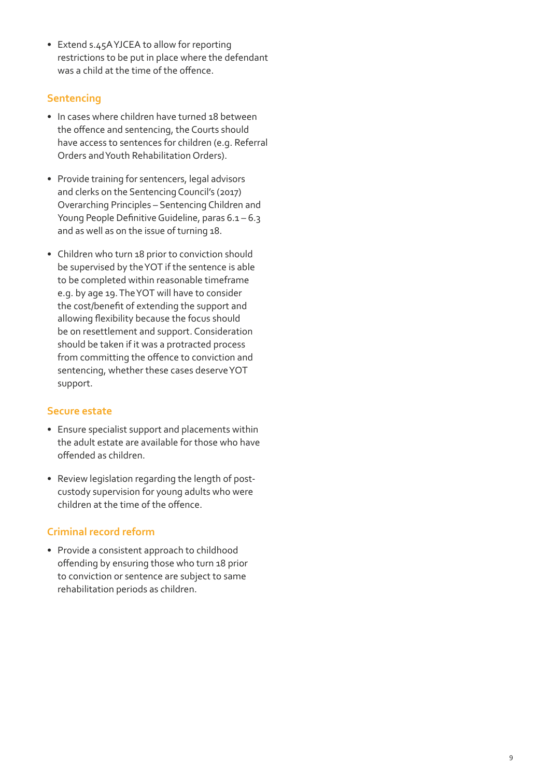• Extend s.45A YJCEA to allow for reporting restrictions to be put in place where the defendant was a child at the time of the offence.

#### **Sentencing**

- In cases where children have turned 18 between the offence and sentencing, the Courts should have access to sentences for children (e.g. Referral Orders and Youth Rehabilitation Orders).
- Provide training for sentencers, legal advisors and clerks on the Sentencing Council's (2017) Overarching Principles – Sentencing Children and Young People Definitive Guideline, paras 6.1 – 6.3 and as well as on the issue of turning 18.
- Children who turn 18 prior to conviction should be supervised by the YOT if the sentence is able to be completed within reasonable timeframe e.g. by age 19. The YOT will have to consider the cost/benefit of extending the support and allowing flexibility because the focus should be on resettlement and support. Consideration should be taken if it was a protracted process from committing the offence to conviction and sentencing, whether these cases deserve YOT support.

#### **Secure estate**

- Ensure specialist support and placements within the adult estate are available for those who have offended as children.
- Review legislation regarding the length of postcustody supervision for young adults who were children at the time of the offence.

### **Criminal record reform**

• Provide a consistent approach to childhood offending by ensuring those who turn 18 prior to conviction or sentence are subject to same rehabilitation periods as children.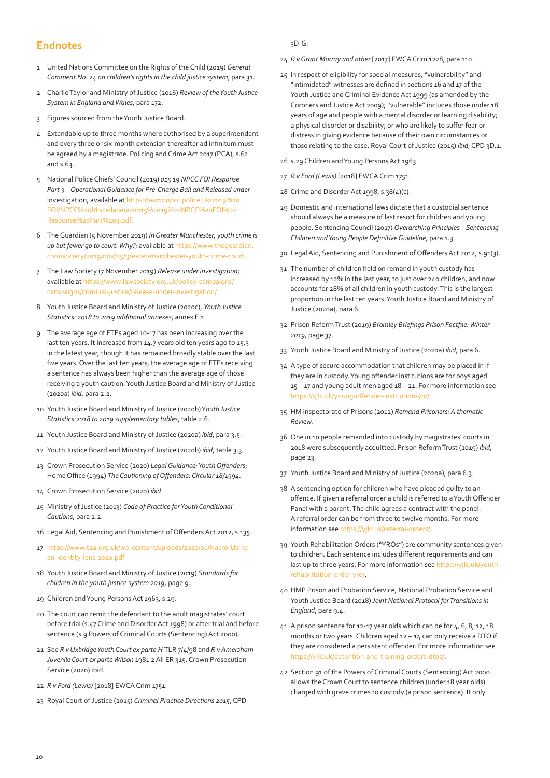#### <span id="page-9-0"></span>**Endnotes**

- [1](#page-0-0) United Nations Committee on the Rights of the Child (2019) *General Comment No. 24 on children's rights in the child justice system*, para 31.
- [2](#page-0-0) Charlie Taylor and Ministry of Justice (2016) *Review of the Youth Justice System in England and Wales*, para 172.
- [3](#page-0-0) Figures sourced from the Youth Justice Board.
- [4](#page-1-0) Extendable up to three months where authorised by a superintendent and every three or six-month extension thereafter ad infinitum must be agreed by a magistrate. Policing and Crime Act 2017 (PCA), s.62 and s.63.
- [5](#page-1-0) National Police Chiefs' Council (2019) *015 19 NPCC FOI Response Part 3 – Operational Guidance for Pre-Charge Bail and Released under*  Investigation; available at [https://www.npcc.police.uk/2019%20](https://www.npcc.police.uk/2019%20FOI/NPCC%20Miscellaneous/015%2019%20NPCC%20FOI%20Response%20Part%2) [FOI/NPCC%20Miscellaneous/015%2019%20NPCC%20FOI%20](https://www.npcc.police.uk/2019%20FOI/NPCC%20Miscellaneous/015%2019%20NPCC%20FOI%20Response%20Part%2) [Response%20Part%203.pdf.](https://www.npcc.police.uk/2019%20FOI/NPCC%20Miscellaneous/015%2019%20NPCC%20FOI%20Response%20Part%2)
- [6](#page-1-0) The Guardian (5 November 2019) *In Greater Manchester, youth crime is up but fewer go to court. Why?*; available at [https://www.theguardian.](https://www.theguardian.com/society/2019/nov/05/greater-manchester-youth-crime-court) [com/society/2019/nov/05/greater-manchester-youth-crime-court](https://www.theguardian.com/society/2019/nov/05/greater-manchester-youth-crime-court).
- [7](#page-1-0) The Law Society (7 November 2019) *Release under investigation*; available at [https://www.lawsociety.org.uk/policy-campaigns/](https://www.lawsociety.org.uk/policy-campaigns/campaigns/criminal-justice/release-under-investigatio) [campaigns/criminal-justice/release-under-investigation/](https://www.lawsociety.org.uk/policy-campaigns/campaigns/criminal-justice/release-under-investigatio)
- [8](#page-1-0) Youth Justice Board and Ministry of Justice (2020c), *Youth Justice Statistics: 2018 to 2019 additional annexes*, annex E.1.
- [9](#page-1-0) The average age of FTEs aged 10-17 has been increasing over the last ten years. It increased from 14.7 years old ten years ago to 15.3 in the latest year, though it has remained broadly stable over the last five years. Over the last ten years, the average age of FTEs receiving a sentence has always been higher than the average age of those receiving a youth caution. Youth Justice Board and Ministry of Justice (2020a) *ibid*, para 2.2.
- [10](#page-1-0) Youth Justice Board and Ministry of Justice (2020b) Y*outh Justice Statistics:2018 to 2019 supplementary tables*, table 2.6.
- [11](#page-2-0) Youth Justice Board and Ministry of Justice (2020a) *ibid*, para 3.5.
- [12](#page-2-0) Youth Justice Board and Ministry of Justice (2020b) *ibid*, table 3.3.
- [13](#page-2-0) Crown Prosecution Service (2020) *Legal Guidance: Youth Offenders*; Home Office (1994) *The Cautioning of Offenders: Circular 18/1994*.
- [14](#page-2-0) Crown Prosecution Service (2020) *ibid*.
- [15](#page-2-0) Ministry of Justice (2013) *Code of Practice for Youth Conditional Cautions*, para 2.2.
- [16](#page-2-0) Legal Aid, Sentencing and Punishment of Offenders Act 2012, s.135.
- [17](#page-2-0) [https://www.t2a.org.uk/wp-content/uploads/2020/01/Nacro-Using](https://www.t2a.org.uk/wp-content/uploads/2020/01/Nacro-Using-an-identity-lens-2020.pdf)[an-identity-lens-2020.pdf](https://www.t2a.org.uk/wp-content/uploads/2020/01/Nacro-Using-an-identity-lens-2020.pdf)
- [18](#page-2-0) Youth Justice Board and Ministry of Justice (2019) *Standards for children in the youth justice system 2019*, page 9.
- [19](#page-3-0) Children and Young Persons Act 1963, s.29.
- [20](#page-3-0) The court can remit the defendant to the adult magistrates' court before trial (s.47 Crime and Disorder Act 1998) or after trial and before sentence (s.9 Powers of Criminal Courts (Sentencing) Act 2000).
- [21](#page-3-0) See *R v Uxbridge Youth Court ex parte H* TLR 7/4/98 and *R v Amersham Juvenile Court ex parte Wilson* 1981 2 All ER 315. Crown Prosecution Service (2020) ibid.
- [22](#page-3-0) *R v Ford (Lewis)* [2018] EWCA Crim 1751.
- [23](#page-3-0) Royal Court of Justice (2015) *Criminal Practice Directions 2015*, CPD

#### 3D-G.

- [24](#page-3-0) *R v Grant Murray and other* [2017] EWCA Crim 1228, para 110.
- [25](#page-3-0) In respect of eligibility for special measures, "vulnerability" and "intimidated" witnesses are defined in sections 16 and 17 of the Youth Justice and Criminal Evidence Act 1999 (as amended by the Coroners and Justice Act 2009); "vulnerable" includes those under 18 years of age and people with a mental disorder or learning disability; a physical disorder or disability; or who are likely to suffer fear or distress in giving evidence because of their own circumstances or those relating to the case. Royal Court of Justice (2015) *ibid*, CPD 3D.1.
- [26](#page-3-0) s.29 Children and Young Persons Act 1963
- [27](#page-3-0) *R v Ford (Lewis)* [2018] EWCA Crim 1751.
- [28](#page-3-0) Crime and Disorder Act 1998, s.38(4)(c).
- [29](#page-3-0) Domestic and international laws dictate that a custodial sentence should always be a measure of last resort for children and young people. Sentencing Council (2017) *Overarching Principles – Sentencing Children and Young People Definitive Guideline*, para 1.3.
- [30](#page-3-0) Legal Aid, Sentencing and Punishment of Offenders Act 2012, s.91(3).
- [31](#page-3-0) The number of children held on remand in youth custody has increased by 12% in the last year, to just over 240 children, and now accounts for 28% of all children in youth custody. This is the largest proportion in the last ten years. Youth Justice Board and Ministry of Justice (2020a), para 6.
- [32](#page-3-0) Prison Reform Trust (2019) *Bromley Briefings Prison Factfile: Winter 2019*, page 37.
- [33](#page-3-0) Youth Justice Board and Ministry of Justice (2020a) *ibid*, para 6.
- [34](#page-4-0) A type of secure accommodation that children may be placed in if they are in custody. Young offender institutions are for boys aged 15 – 17 and young adult men aged 18 – 21. For more information see [https://yjlc.uk/young-offender-institution-yoi/.](https://yjlc.uk/young-offender-institution-yoi/)
- [35](#page-4-0) HM Inspectorate of Prisons (2012) *Remand Prisoners: A thematic Review*.
- [36](#page-4-0) One in 10 people remanded into custody by magistrates' courts in 2018 were subsequently acquitted. Prison Reform Trust (2019) *ibid*, page 23.
- [37](#page-4-0) Youth Justice Board and Ministry of Justice (2020a), para 6.3.
- [38](#page-4-0) A sentencing option for children who have pleaded guilty to an offence. If given a referral order a child is referred to a Youth Offender Panel with a parent. The child agrees a contract with the panel. A referral order can be from three to twelve months. For more information see [https://yjlc.uk/referral-orders/.](https://yjlc.uk/referral-orders/)
- [39](#page-4-0) Youth Rehabilitation Orders ("YROs") are community sentences given to children. Each sentence includes different requirements and can last up to three years. For more information see [https://yjlc.uk/youth](https://yjlc.uk/youth-rehabilitation-order-yro/)[rehabilitation-order-yro/.](https://yjlc.uk/youth-rehabilitation-order-yro/)
- [40](#page-4-0) HMP Prison and Probation Service, National Probation Service and Youth Justice Board (2018) *Joint National Protocol for Transitions in England*, para 9.4.
- [41](#page-4-0) A prison sentence for 12-17 year olds which can be for 4, 6, 8, 12, 18 months or two years. Children aged 12 - 14 can only receive a DTO if they are considered a persistent offender. For more information see <https://yjlc.uk/detention-and-training-orders-dtos/>.
- [42](#page-4-0) Section 91 of the Powers of Criminal Courts (Sentencing) Act 2000 allows the Crown Court to sentence children (under 18 year olds) charged with grave crimes to custody (a prison sentence). It only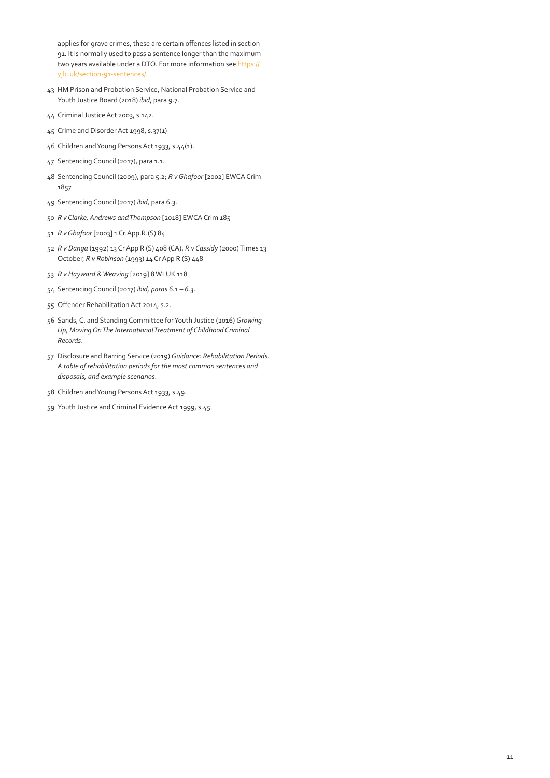<span id="page-10-0"></span>applies for grave crimes, these are certain offences listed in section 91. It is normally used to pass a sentence longer than the maximum two years available under a DTO. For more information see [https://](https://yjlc.uk/section-91-sentences/) [yjlc.uk/section-91-sentences/](https://yjlc.uk/section-91-sentences/).

- HM Prison and Probation Service, National Probation Service and Youth Justice Board (2018) *ibid*, para 9.7.
- Criminal Justice Act 2003, s.142.
- Crime and Disorder Act 1998, s.37(1)
- Children and Young Persons Act 1933, s.44(1).
- Sentencing Council (2017), para 1.1.
- Sentencing Council (2009), para 5.2; *R v Ghafoor* [2002] EWCA Crim
- Sentencing Council (2017) *ibid*, para 6.3.
- *R v Clarke, Andrews and Thompson* [2018] EWCA Crim 185
- *R v Ghafoor* [2003] 1 Cr.App.R.(S) 84
- *R v Danga* (1992) 13 Cr App R (S) 408 (CA), *R v Cassidy* (2000) Times 13 October, *R v Robinson* (1993) 14 Cr App R (S) 448
- *R v Hayward & Weaving* [2019] 8 WLUK 118
- Sentencing Council (2017) *ibid, paras 6.1 6.3*.
- Offender Rehabilitation Act 2014, s.2.
- Sands, C. and Standing Committee for Youth Justice (2016) *Growing Up, Moving On The International Treatment of Childhood Criminal Records*.
- Disclosure and Barring Service (2019) *Guidance: Rehabilitation Periods. A table of rehabilitation periods for the most common sentences and disposals, and example scenarios*.
- Children and Young Persons Act 1933, s.49.
- Youth Justice and Criminal Evidence Act 1999, s.45.